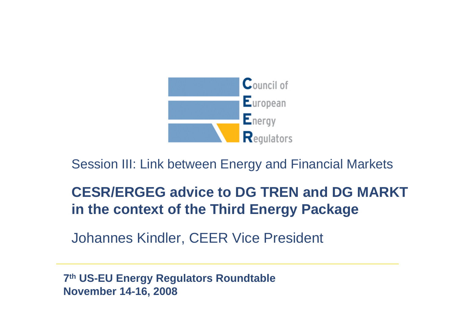

Session III: Link between Energy and Financial Markets

# **CESR/ERGEG advice to DG TREN and DG MARKT in the context of the Third Energy Package**

Johannes Kindler, CEER Vice President

**7th US-EU Energy Regulators Roundtable November 14-16, 2008**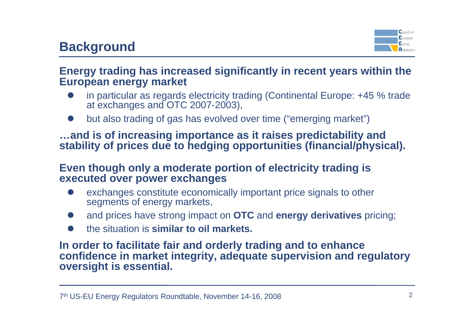

### **Energy trading has increased significantly in recent years within the European energy market**

- $\bullet$  in particular as regards electricity trading (Continental Europe: +45 % trade at exchanges and OTC 2007-2003),
- $\bullet$ but also trading of gas has evolved over time ("emerging market")

### **…and is of increasing importance as it raises predictability and stability of prices due to hedging opportunities (financial/physical).**

#### **Even though only a moderate portion of electricity trading is executed over power exchanges**

- $\bullet$  exchanges constitute economically important price signals to other segments of energy markets,
- $\bullet$ and prices have strong impact on **OTC** and **energy derivatives** pricing;
- $\bullet$ the situation is **similar to oil markets.**

#### **In order to facilitate fair and orderly trading and to enhance confidence in market integrity, adequate supervision and regulatory oversight is essential.**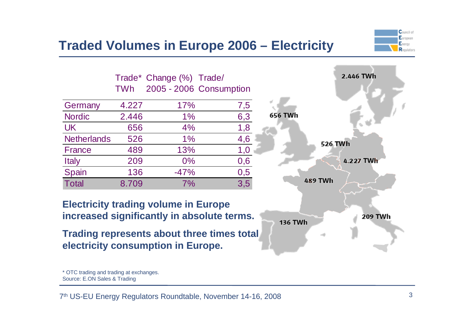

## **Traded Volumes in Europe 2006 – Electricity**

|                    |            | Trade* Change (%) Trade/ |                         |
|--------------------|------------|--------------------------|-------------------------|
|                    | <b>TWh</b> |                          | 2005 - 2006 Consumption |
| Germany            | 4.227      | 17%                      | 7,5                     |
| <b>Nordic</b>      | 2.446      | $1\%$                    | 6,3                     |
| <b>UK</b>          | 656        | 4%                       | 1,8                     |
| <b>Netherlands</b> | 526        | $1\%$                    | 4,6                     |
| <b>France</b>      | 489        | 13%                      | 1,0                     |
| <b>Italy</b>       | 209        | 0%                       | 0,6                     |
| Spain              | 136        | $-47%$                   | 0,5                     |
| <b>Total</b>       | 8.709      | 7%                       | 3,5                     |

**Electricity trading volume in Europe increased significantly in absolute terms.**

**Trading represents about three times total electricity consumption in Europe.**

Source: E.ON Sales & Trading



<sup>\*</sup> OTC trading and trading at exchanges.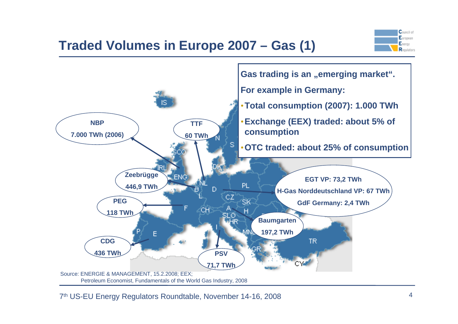## **Traded Volumes in Europe 2007 – Gas (1)**



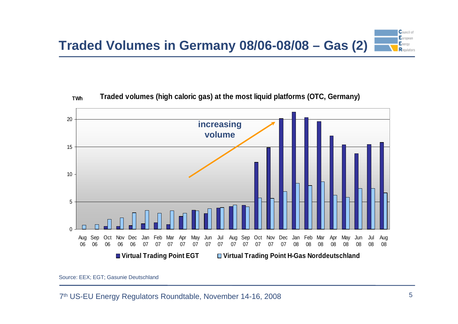



Source: EEX; EGT; Gasunie Deutschland

7th US-EU Energy Regulators Roundtable, November 14-16, 2008 5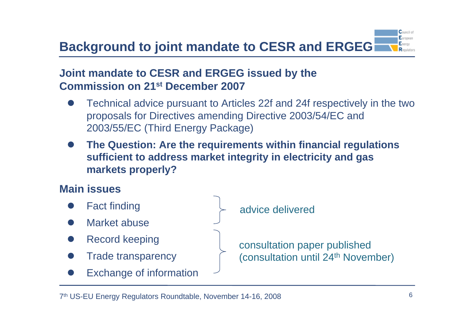#### Furnness **Background to joint mandate to CESR and ERGEG**

## **Joint mandate to CESR and ERGEG issued by the Commission on 21st December 2007**

- $\bullet$  Technical advice pursuant to Articles 22f and 24f respectively in the two proposals for Directives amending Directive 2003/54/EC and 2003/55/EC (Third Energy Package)
- $\bullet$  **The Question: Are the requirements within financial regulations sufficient to address market integrity in electricity and gas markets properly?**

## **Main issues**

- $\bullet$ Fact finding
- $\bullet$ Market abuse
- $\bullet$ Record keeping
- $\bullet$ Trade transparency
- $\bullet$ Exchange of information

advice delivered

consultation paper published (consultation until 24<sup>th</sup> November)  $C$ ouncil of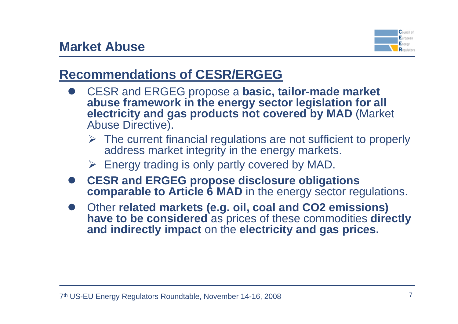

# **Recommendations of CESR/ERGEG**

- $\bullet$  CESR and ERGEG propose a **basic, tailor-made market abuse framework in the energy sector legislation for all electricity and gas products not covered by MAD** (Market Abuse Directive).
	- $\triangleright$  The current financial regulations are not sufficient to properly address market integrity in the energy markets.
	- $\triangleright$  Energy trading is only partly covered by MAD.
- **CESR and ERGEG propose disclosure obligations comparable to Article 6 MAD** in the energy sector regulations.
- **•** Other related markets (e.g. oil, coal and CO2 emissions) **have to be considered** as prices of these commodities **directly and indirectly impact** on the **electricity and gas prices.**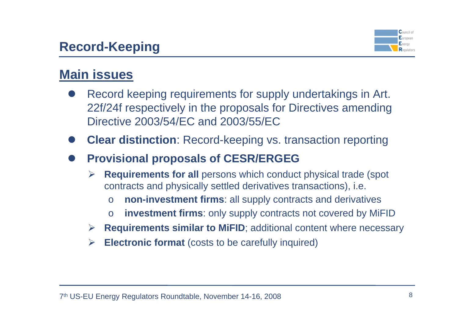## **Record-Keeping**



# **Main issues**

- $\bullet$  Record keeping requirements for supply undertakings in Art. 22f/24f respectively in the proposals for Directives amending Directive 2003/54/EC and 2003/55/EC
- $\bullet$ **Clear distinction**: Record-keeping vs. transaction reporting
- $\bullet$  **Provisional proposals of CESR/ERGEG**
	- ¾ **Requirements for all** persons which conduct physical trade (spot contracts and physically settled derivatives transactions), i.e.
		- o**non-investment firms**: all supply contracts and derivatives
		- o**investment firms**: only supply contracts not covered by MiFID
	- ¾ **Requirements similar to MiFID**; additional content where necessary
	- ¾**Electronic format** (costs to be carefully inquired)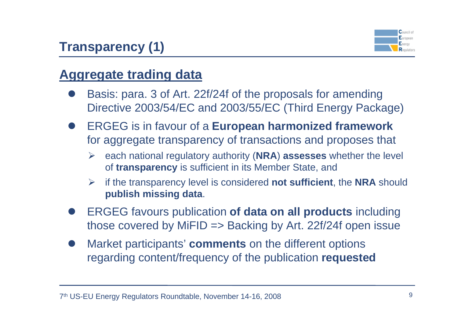# **Transparency (1)**



# **Aggregate trading data**

- $\bullet$  Basis: para. 3 of Art. 22f/24f of the proposals for amending Directive 2003/54/EC and 2003/55/EC (Third Energy Package)
- $\bullet$  ERGEG is in favour of a **European harmonized framework** for aggregate transparency of transactions and proposes that
	- ¾ each national regulatory authority (**NRA**) **assesses** whether the level of **transparency** is sufficient in its Member State, and
	- ¾ if the transparency level is considered **not sufficient**, the **NRA** should **publish missing data**.
- $\bullet$  ERGEG favours publication **of data on all products** including those covered by MiFID  $\Rightarrow$  Backing by Art. 22f/24f open issue
- $\bullet$  Market participants' **comments** on the different options regarding content/frequency of the publication **requested**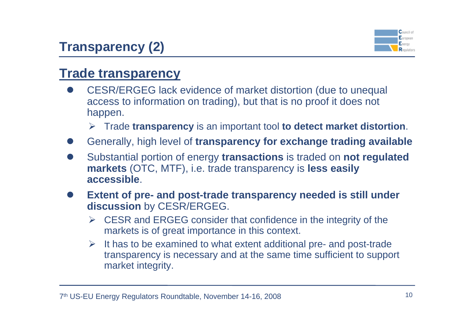# **Transparency (2)**



# **Trade transparency**

- $\bullet$  CESR/ERGEG lack evidence of market distortion (due to unequal access to information on trading), but that is no proof it does not happen.
	- ¾ Trade **transparency** is an important tool **to detect market distortion**.
- $\bullet$ Generally, high level of **transparency for exchange trading available**
- $\bullet$  Substantial portion of energy **transactions** is traded on **not regulated markets** (OTC, MTF), i.e. trade transparency is **less easily accessible**.
- $\bullet$  **Extent of pre- and post-trade transparency needed is still under discussion** by CESR/ERGEG.
	- $\triangleright$  CESR and ERGEG consider that confidence in the integrity of the markets is of great importance in this context.
	- $\triangleright$  It has to be examined to what extent additional pre- and post-trade transparency is necessary and at the same time sufficient to support market integrity.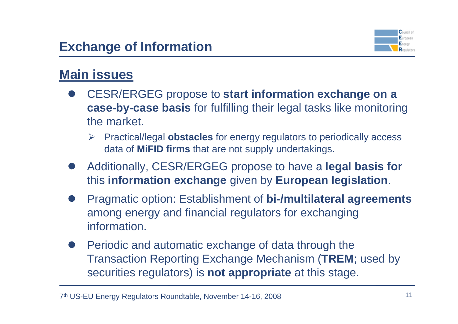

# **Main issues**

- **CESR/ERGEG propose to start information exchange on a case-by-case basis** for fulfilling their legal tasks like monitoring the market.
	- ¾ Practical/legal **obstacles** for energy regulators to periodically access data of **MiFID firms** that are not supply undertakings.
- $\bullet$  Additionally, CESR/ERGEG propose to have a **legal basis for** this **information exchange** given by **European legislation**.
- $\bullet$  Pragmatic option: Establishment of **bi-/multilateral agreements** among energy and financial regulators for exchanging information.
- $\bullet$  Periodic and automatic exchange of data through the Transaction Reporting Exchange Mechanism (**TREM**; used by securities regulators) is **not appropriate** at this stage.